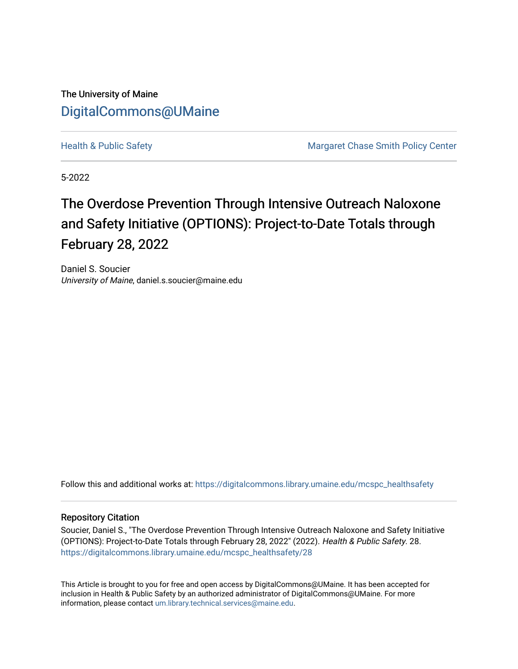The University of Maine [DigitalCommons@UMaine](https://digitalcommons.library.umaine.edu/)

[Health & Public Safety](https://digitalcommons.library.umaine.edu/mcspc_healthsafety) Margaret Chase Smith Policy Center

5-2022

# The Overdose Prevention Through Intensive Outreach Naloxone and Safety Initiative (OPTIONS): Project-to-Date Totals through February 28, 2022

Daniel S. Soucier University of Maine, daniel.s.soucier@maine.edu

Follow this and additional works at: [https://digitalcommons.library.umaine.edu/mcspc\\_healthsafety](https://digitalcommons.library.umaine.edu/mcspc_healthsafety?utm_source=digitalcommons.library.umaine.edu%2Fmcspc_healthsafety%2F28&utm_medium=PDF&utm_campaign=PDFCoverPages) 

#### Repository Citation

Soucier, Daniel S., "The Overdose Prevention Through Intensive Outreach Naloxone and Safety Initiative (OPTIONS): Project-to-Date Totals through February 28, 2022" (2022). Health & Public Safety. 28. [https://digitalcommons.library.umaine.edu/mcspc\\_healthsafety/28](https://digitalcommons.library.umaine.edu/mcspc_healthsafety/28?utm_source=digitalcommons.library.umaine.edu%2Fmcspc_healthsafety%2F28&utm_medium=PDF&utm_campaign=PDFCoverPages)

This Article is brought to you for free and open access by DigitalCommons@UMaine. It has been accepted for inclusion in Health & Public Safety by an authorized administrator of DigitalCommons@UMaine. For more information, please contact [um.library.technical.services@maine.edu](mailto:um.library.technical.services@maine.edu).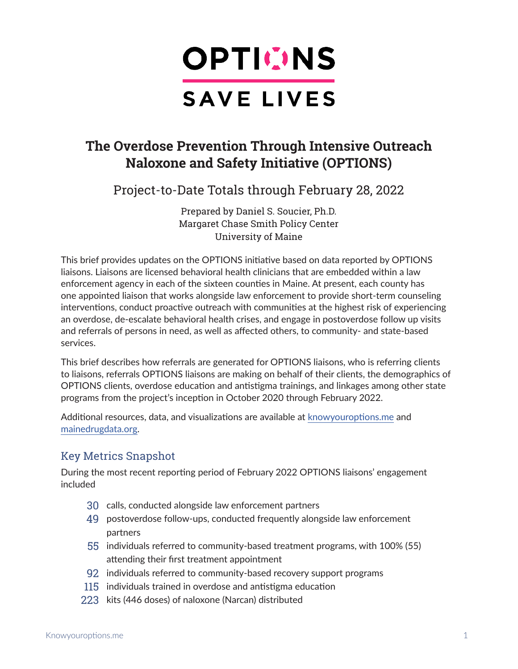

# **The Overdose Prevention Through Intensive Outreach Naloxone and Safety Initiative (OPTIONS)**

Project-to-Date Totals through February 28, 2022

Prepared by Daniel S. Soucier, Ph.D. Margaret Chase Smith Policy Center University of Maine

This brief provides updates on the OPTIONS initiative based on data reported by OPTIONS liaisons. Liaisons are licensed behavioral health clinicians that are embedded within a law enforcement agency in each of the sixteen counties in Maine. At present, each county has one appointed liaison that works alongside law enforcement to provide short-term counseling interventions, conduct proactive outreach with communities at the highest risk of experiencing an overdose, de-escalate behavioral health crises, and engage in postoverdose follow up visits and referrals of persons in need, as well as affected others, to community- and state-based services.

This brief describes how referrals are generated for OPTIONS liaisons, who is referring clients to liaisons, referrals OPTIONS liaisons are making on behalf of their clients, the demographics of OPTIONS clients, overdose education and antistigma trainings, and linkages among other state programs from the project's inception in October 2020 through February 2022.

Additional resources, data, and visualizations are available at [knowyouroptions.me](https://www.knowyouroptions.me/) and [mainedrugdata.org](https://www.mainedrugdata.org/).

## Key Metrics Snapshot

During the most recent reporting period of February 2022 OPTIONS liaisons' engagement included

- 30 calls, conducted alongside law enforcement partners
- 49 postoverdose follow-ups, conducted frequently alongside law enforcement partners
- 55 individuals referred to community-based treatment programs, with 100% (55) attending their first treatment appointment
- 92 individuals referred to community-based recovery support programs
- 115 individuals trained in overdose and antistigma education
- 223 kits (446 doses) of naloxone (Narcan) distributed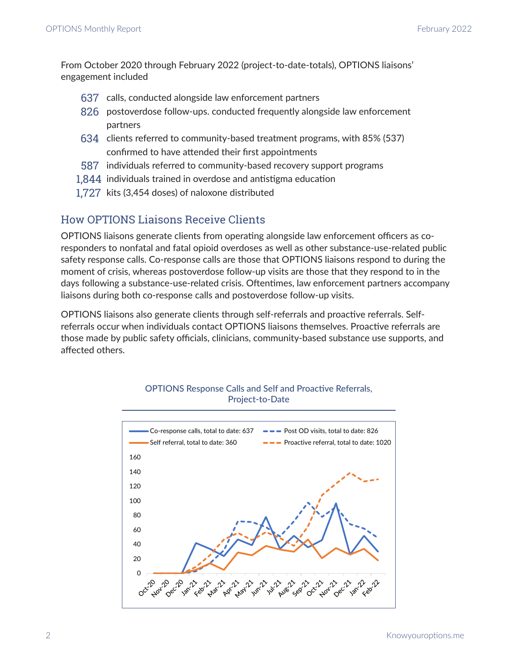From October 2020 through February 2022 (project-to-date-totals), OPTIONS liaisons' engagement included

- 637 calls, conducted alongside law enforcement partners
- 826 postoverdose follow-ups. conducted frequently alongside law enforcement partners
- 634 clients referred to community-based treatment programs, with 85% (537) confirmed to have attended their first appointments
- 587 individuals referred to community-based recovery support programs
- 1,844 individuals trained in overdose and antistigma education
- 1,727 kits (3,454 doses) of naloxone distributed

## How OPTIONS Liaisons Receive Clients

OPTIONS liaisons generate clients from operating alongside law enforcement officers as coresponders to nonfatal and fatal opioid overdoses as well as other substance-use-related public safety response calls. Co-response calls are those that OPTIONS liaisons respond to during the moment of crisis, whereas postoverdose follow-up visits are those that they respond to in the days following a substance-use-related crisis. Oftentimes, law enforcement partners accompany liaisons during both co-response calls and postoverdose follow-up visits.

OPTIONS liaisons also generate clients through self-referrals and proactive referrals. Selfreferrals occur when individuals contact OPTIONS liaisons themselves. Proactive referrals are those made by public safety officials, clinicians, community-based substance use supports, and affected others.



## OPTIONS Response Calls and Self and Proactive Referrals, Project-to-Date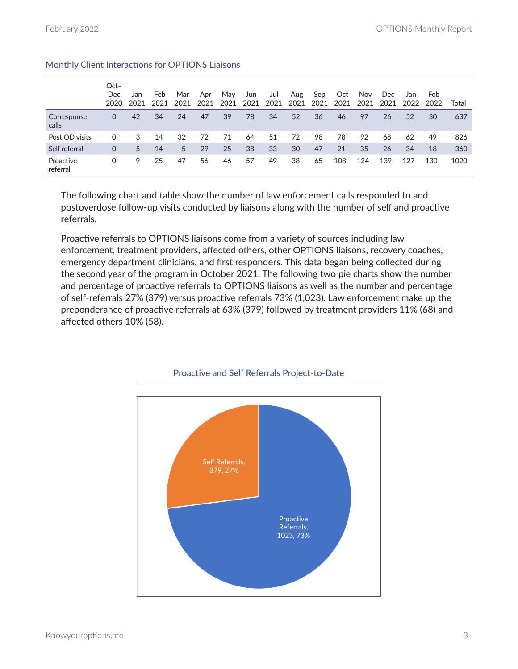|                       | $Oct-$<br><b>Dec</b><br>2020 | Jan<br>2021 | Feb<br>2021 | Mar<br>2021 | Apr<br>2021 | May<br>2021 | Jun<br>2021 | Jul<br>2021 | Aug<br>2021 | Sep<br>2021 | Oct<br>2021 | Nov<br>2021 | Dec<br>2021 | Jan<br>2022 | Feb.<br>2022 | Total |
|-----------------------|------------------------------|-------------|-------------|-------------|-------------|-------------|-------------|-------------|-------------|-------------|-------------|-------------|-------------|-------------|--------------|-------|
| Co-response<br>calls  | 0                            | 42          | 34          | 24          | 47          | 39          | 78          | 34          | 52          | 36          | 46          | 97          | 26          | 52          | 30           | 637   |
| Post OD visits        | $\Omega$                     | 3           | 14          | 32          | 72          | 71          | 64          | 51          | 72          | 98          | 78          | 92          | 68          | 62          | 49           | 826   |
| Self referral         | 0                            | 5           | 14          | 5           | 29          | 25          | 38          | 33          | 30          | 47          | 21          | 35          | 26          | 34          | 18           | 360   |
| Proactive<br>referral | 0                            | 9           | 25          | 47          | 56          | 46          | 57          | 49          | 38          | 65          | 108         | 124         | 139         | 127         | 130          | 1020  |

## Monthly Client Interactions for OPTIONS Liaisons

The following chart and table show the number of law enforcement calls responded to and postoverdose follow-up visits conducted by liaisons along with the number of self and proactive referrals.

Proactive referrals to OPTIONS liaisons come from a variety of sources including law enforcement, treatment providers, affected others, other OPTIONS liaisons, recovery coaches, emergency department clinicians, and first responders. This data began being collected during the second year of the program in October 2021. The following two pie charts show the number and percentage of proactive referrals to OPTIONS liaisons as well as the number and percentage of self-referrals 27% (379) versus proactive referrals 73% (1,023). Law enforcement make up the preponderance of proactive referrals at 63% (379) followed by treatment providers 11% (68) and affected others 10% (58).



#### Proactive and Self Referrals Project-to-Date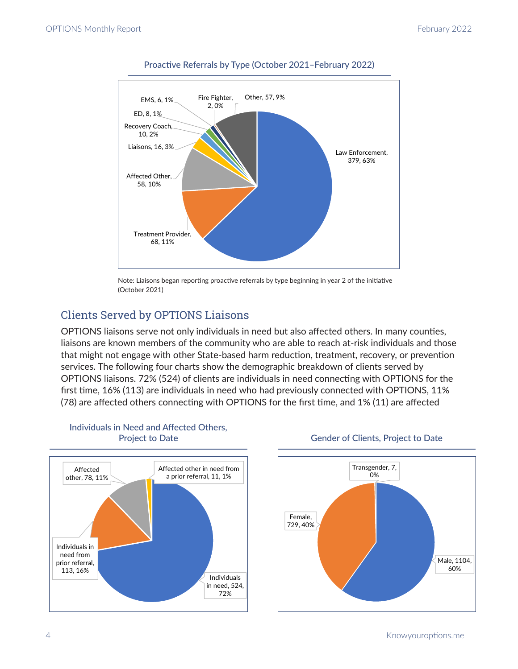

## Proactive Referrals by Type (October 2021–February 2022)

Note: Liaisons began reporting proactive referrals by type beginning in year 2 of the initiative (October 2021)

## Clients Served by OPTIONS Liaisons

OPTIONS liaisons serve not only individuals in need but also affected others. In many counties, liaisons are known members of the community who are able to reach at-risk individuals and those that might not engage with other State-based harm reduction, treatment, recovery, or prevention services. The following four charts show the demographic breakdown of clients served by OPTIONS liaisons. 72% (524) of clients are individuals in need connecting with OPTIONS for the first time, 16% (113) are individuals in need who had previously connected with OPTIONS, 11% (78) are affected others connecting with OPTIONS for the first time, and 1% (11) are affected



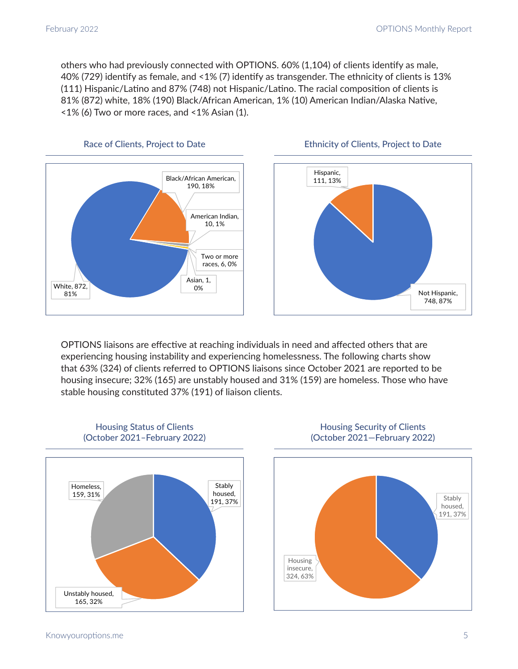others who had previously connected with OPTIONS. 60% (1,104) of clients identify as male, 40% (729) identify as female, and <1% (7) identify as transgender. The ethnicity of clients is 13% (111) Hispanic/Latino and 87% (748) not Hispanic/Latino. The racial composition of clients is 81% (872) white, 18% (190) Black/African American, 1% (10) American Indian/Alaska Native, <1% (6) Two or more races, and <1% Asian (1).







OPTIONS liaisons are effective at reaching individuals in need and affected others that are experiencing housing instability and experiencing homelessness. The following charts show that 63% (324) of clients referred to OPTIONS liaisons since October 2021 are reported to be housing insecure; 32% (165) are unstably housed and 31% (159) are homeless. Those who have stable housing constituted 37% (191) of liaison clients.





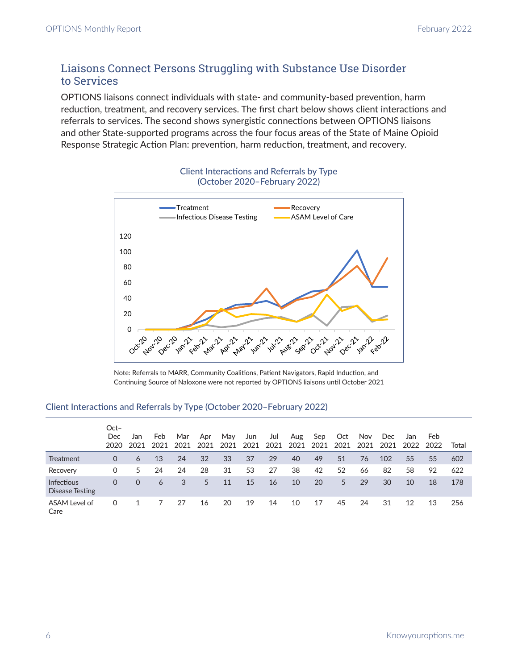## Liaisons Connect Persons Struggling with Substance Use Disorder to Services

OPTIONS liaisons connect individuals with state- and community-based prevention, harm reduction, treatment, and recovery services. The first chart below shows client interactions and referrals to services. The second shows synergistic connections between OPTIONS liaisons and other State-supported programs across the four focus areas of the State of Maine Opioid Response Strategic Action Plan: prevention, harm reduction, treatment, and recovery.



## Client Interactions and Referrals by Type (October 2020–February 2022)

Note: Referrals to MARR, Community Coalitions, Patient Navigators, Rapid Induction, and Continuing Source of Naloxone were not reported by OPTIONS liaisons until October 2021

## Client Interactions and Referrals by Type (October 2020–February 2022)

|                                      | Oct-<br>Dec<br>2020 | Jan<br>2021 | Feb<br>2021 | Mar<br>2021 | Apr<br>2021 | Mav<br>2021 | Jun<br>2021 | Jul<br>2021 | Aug<br>2021 | Sep<br>2021 | Oct<br>2021 | Nov<br>2021 | <b>Dec</b><br>2021 | Jan<br>2022 | Feb.<br>2022 | Total |
|--------------------------------------|---------------------|-------------|-------------|-------------|-------------|-------------|-------------|-------------|-------------|-------------|-------------|-------------|--------------------|-------------|--------------|-------|
| Treatment                            | $\Omega$            | 6           | 13          | 24          | 32          | 33          | 37          | 29          | 40          | 49          | 51          | 76          | 102                | 55          | 55           | 602   |
| Recovery                             | 0                   | 5.          | 24          | 24          | 28          | 31          | 53          | 27          | 38          | 42          | 52          | 66          | 82                 | 58          | 92           | 622   |
| <b>Infectious</b><br>Disease Testing | 0                   | 0           | 6           | 3           | 5           | 11          | 15          | 16          | 10          | 20          | 5.          | 29          | 30                 | 10          | 18           | 178   |
| ASAM Level of<br>Care                | 0                   |             |             | 27          | 16          | 20          | 19          | 14          | 10          | 17          | 45          | 24          | 31                 | 12          | 13           | 256   |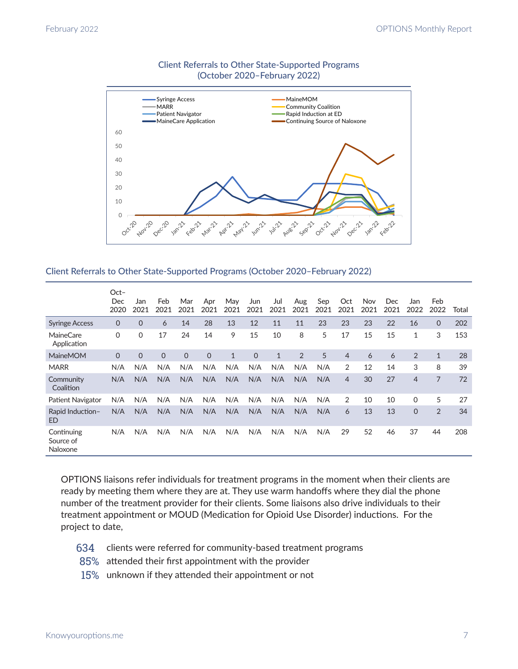

## Client Referrals to Other State-Supported Programs (October 2020–February 2022)

#### Client Referrals to Other State-Supported Programs (October 2020–February 2022)

|                                     | $Oct-$<br>Dec<br>2020 | Jan<br>2021 | Feb<br>2021 | Mar<br>2021 | Apr<br>2021 | May<br>2021  | Jun<br>2021 | Jul<br>2021  | Aug<br>2021 | Sep<br>2021 | Oct<br>2021    | Nov<br>2021 | <b>Dec</b><br>2021 | Jan<br>2022    | Feb<br>2022  | Total |
|-------------------------------------|-----------------------|-------------|-------------|-------------|-------------|--------------|-------------|--------------|-------------|-------------|----------------|-------------|--------------------|----------------|--------------|-------|
| <b>Syringe Access</b>               | $\Omega$              | $\Omega$    | 6           | 14          | 28          | 13           | 12          | 11           | 11          | 23          | 23             | 23          | 22                 | 16             | $\Omega$     | 202   |
| MaineCare<br>Application            | $\mathbf 0$           | $\mathbf 0$ | 17          | 24          | 14          | 9            | 15          | 10           | 8           | 5           | 17             | 15          | 15                 | $\mathbf{1}$   | 3            | 153   |
| <b>MaineMOM</b>                     | $\Omega$              | $\Omega$    | $\Omega$    | $\Omega$    | $\Omega$    | $\mathbf{1}$ | $\Omega$    | $\mathbf{1}$ | 2           | 5           | $\overline{4}$ | 6           | 6                  | 2              | $\mathbf{1}$ | 28    |
| <b>MARR</b>                         | N/A                   | N/A         | N/A         | N/A         | N/A         | N/A          | N/A         | N/A          | N/A         | N/A         | 2              | 12          | 14                 | 3              | 8            | 39    |
| Community<br>Coalition              | N/A                   | N/A         | N/A         | N/A         | N/A         | N/A          | N/A         | N/A          | N/A         | N/A         | $\overline{4}$ | 30          | 27                 | $\overline{4}$ | 7            | 72    |
| Patient Navigator                   | N/A                   | N/A         | N/A         | N/A         | N/A         | N/A          | N/A         | N/A          | N/A         | N/A         | 2              | 10          | 10                 | $\Omega$       | 5            | 27    |
| Rapid Induction-<br>ED              | N/A                   | N/A         | N/A         | N/A         | N/A         | N/A          | N/A         | N/A          | N/A         | N/A         | 6              | 13          | 13                 | $\Omega$       | 2            | 34    |
| Continuing<br>Source of<br>Naloxone | N/A                   | N/A         | N/A         | N/A         | N/A         | N/A          | N/A         | N/A          | N/A         | N/A         | 29             | 52          | 46                 | 37             | 44           | 208   |

OPTIONS liaisons refer individuals for treatment programs in the moment when their clients are ready by meeting them where they are at. They use warm handoffs where they dial the phone number of the treatment provider for their clients. Some liaisons also drive individuals to their treatment appointment or MOUD (Medication for Opioid Use Disorder) inductions. For the project to date,

- 634 clients were referred for community-based treatment programs
- 85% attended their first appointment with the provider
- 15% unknown if they attended their appointment or not